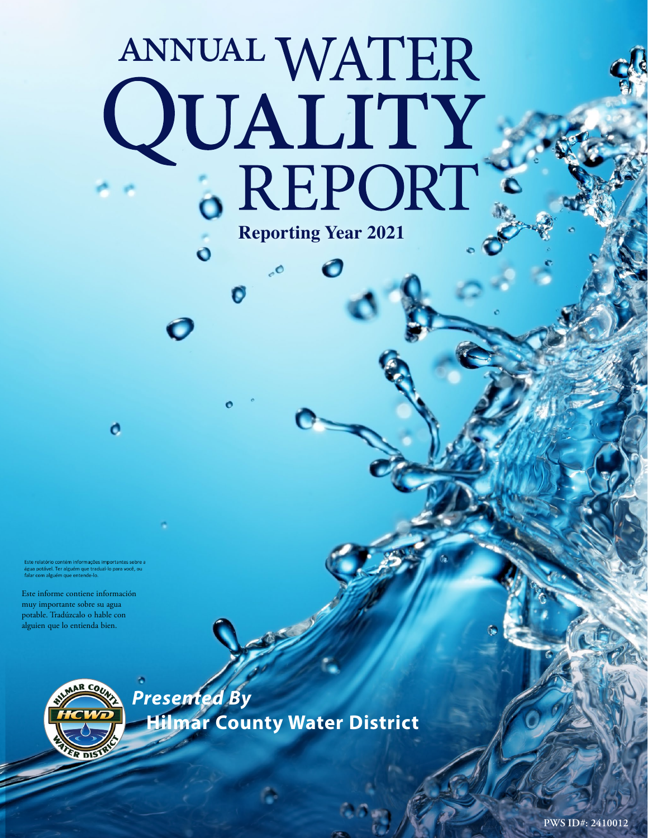# ANNUAL WATER<br>QUALITY<br>6 REPORT **Reporting Year 2021**

O

 $\ddot{\mathbf{o}}$ 

Este relatório contém informações importantes sobre a<br>água potável. Ter alguém que traduzi-lo para você, ou<br>falar com alguém que entende-lo.

o

Este informe contiene información muy importante sobre su agua potable. Tradúzcalo o hable con alguien que lo entienda bien.

R DIST

*Presented By* **Hilmar County Water District**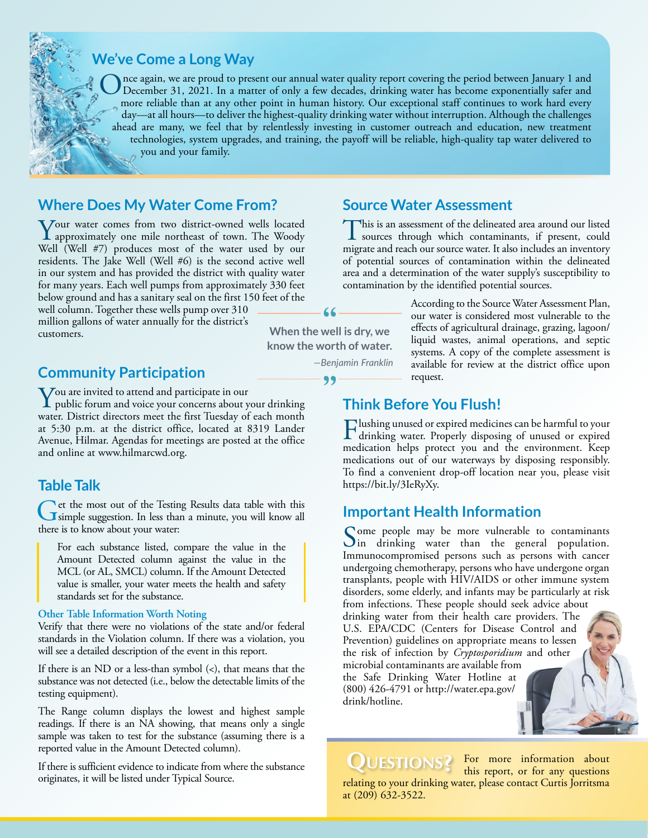### **We've Come a Long Way**

Once again, we are proud to present our annual water quality report covering the period between January 1 and December 31, 2021. In a matter of only a few decades, drinking water has become exponentially safer and processe more reliable than at any other point in human history. Our exceptional staff continues to work hard every day—at all hours—to deliver the highest-quality drinking water without interruption. Although the challenges ahead are many, we feel that by relentlessly investing in customer outreach and education, new treatment technologies, system upgrades, and training, the payoff will be reliable, high-quality tap water delivered to you and your family.

### **Where Does My Water Come From?**

Your water comes from two district-owned wells located approximately one mile northeast of town. The Woody Well (Well #7) produces most of the water used by our residents. The Jake Well (Well #6) is the second active well in our system and has provided the district with quality water for many years. Each well pumps from approximately 330 feet below ground and has a sanitary seal on the first 150 feet of the

well column. Together these wells pump over 310 million gallons of water annually for the district's customers.

# **Community Participation Community Participation**

You are invited to attend and participate in our<br>public forum and voice your concerns about your drinking<br>water. Dispute discover were the first Treader of seek morth water. District directors meet the first Tuesday of each month at 5:30 p.m. at the district office, located at 8319 Lander Avenue, Hilmar. Agendas for meetings are posted at the office and online at [www.hilmarcwd.org](http://www.hilmarcwd.org).

### **Table Talk**

Get the most out of the Testing Results data table with this simple suggestion. In less than a minute, you will know all there is to know about your water:

For each substance listed, compare the value in the Amount Detected column against the value in the MCL (or AL, SMCL) column. If the Amount Detected value is smaller, your water meets the health and safety standards set for the substance.

### **Other Table Information Worth Noting**

Verify that there were no violations of the state and/or federal standards in the Violation column. If there was a violation, you will see a detailed description of the event in this report.

If there is an ND or a less-than symbol (<), that means that the substance was not detected (i.e., below the detectable limits of the testing equipment).

The Range column displays the lowest and highest sample readings. If there is an NA showing, that means only a single sample was taken to test for the substance (assuming there is a reported value in the Amount Detected column).

If there is sufficient evidence to indicate from where the substance originates, it will be listed under Typical Source.

### **Source Water Assessment**

This is an assessment of the delineated area around our listed sources through which contaminants, if present, could migrate and reach our source water. It also includes an inventory of potential sources of contamination within the delineated area and a determination of the water supply's susceptibility to contamination by the identified potential sources.

**When the well is dry, we know the worth of water.**

*—Benjamin Franklin*

According to the Source Water Assessment Plan, our water is considered most vulnerable to the effects of agricultural drainage, grazing, lagoon/ liquid wastes, animal operations, and septic systems. A copy of the complete assessment is available for review at the district office upon

### **Think Before You Flush!**

Flushing unused or expired medicines can be harmful to your drinking water. Properly disposing of unused or expired medication helps protect you and the environment. Keep medications out of our waterways by disposing responsibly. To find a convenient drop-off location near you, please visit [https://bit.ly/3IeRyXy.](https://bit.ly/3IeRyXy)

### **Important Health Information**

Some people may be more vulnerable to contaminants<br>in drinking water than the general population. Immunocompromised persons such as persons with cancer undergoing chemotherapy, persons who have undergone organ transplants, people with HIV/AIDS or other immune system disorders, some elderly, and infants may be particularly at risk from infections. These people should seek advice about drinking water from their health care providers. The U.S. EPA/CDC (Centers for Disease Control and Prevention) guidelines on appropriate means to lessen the risk of infection by *Cryptosporidium* and other microbial contaminants are available from the Safe Drinking Water Hotline at (800) 426-4791 or [http://water.epa.gov/](http://water.epa.gov/drink/hotline) [drink/hotline](http://water.epa.gov/drink/hotline).

QUESTIONS?

For more information about this report, or for any questions relating to your drinking water, please contact Curtis Jorritsma at (209) 632-3522.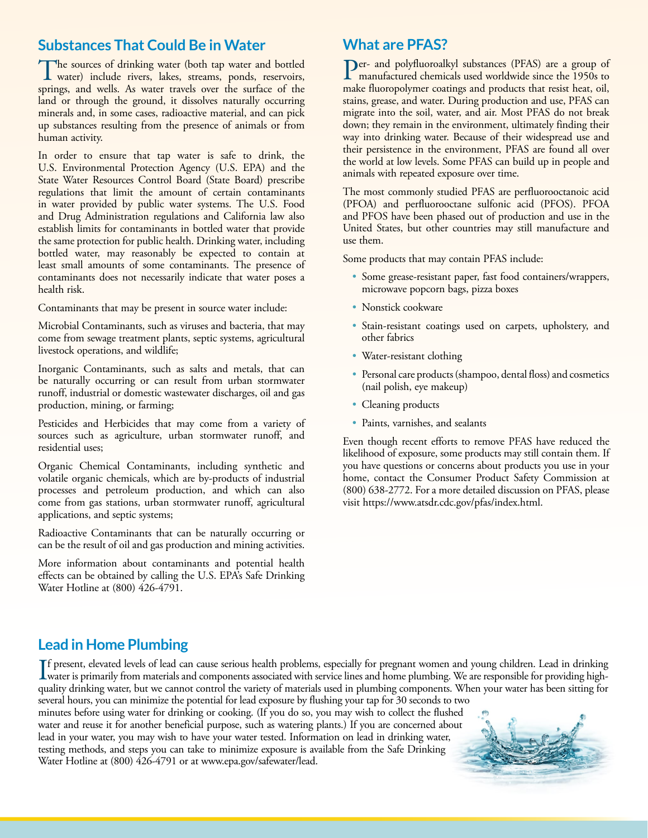## **Substances That Could Be in Water**

The sources of drinking water (both tap water and bottled<br>water) include rivers, lakes, streams, ponds, reservoirs, springs, and wells. As water travels over the surface of the land or through the ground, it dissolves naturally occurring minerals and, in some cases, radioactive material, and can pick up substances resulting from the presence of animals or from human activity.

In order to ensure that tap water is safe to drink, the U.S. Environmental Protection Agency (U.S. EPA) and the State Water Resources Control Board (State Board) prescribe regulations that limit the amount of certain contaminants in water provided by public water systems. The U.S. Food and Drug Administration regulations and California law also establish limits for contaminants in bottled water that provide the same protection for public health. Drinking water, including bottled water, may reasonably be expected to contain at least small amounts of some contaminants. The presence of contaminants does not necessarily indicate that water poses a health risk.

Contaminants that may be present in source water include:

Microbial Contaminants, such as viruses and bacteria, that may come from sewage treatment plants, septic systems, agricultural livestock operations, and wildlife;

Inorganic Contaminants, such as salts and metals, that can be naturally occurring or can result from urban stormwater runoff, industrial or domestic wastewater discharges, oil and gas production, mining, or farming;

Pesticides and Herbicides that may come from a variety of sources such as agriculture, urban stormwater runoff, and residential uses;

Organic Chemical Contaminants, including synthetic and volatile organic chemicals, which are by-products of industrial processes and petroleum production, and which can also come from gas stations, urban stormwater runoff, agricultural applications, and septic systems;

Radioactive Contaminants that can be naturally occurring or can be the result of oil and gas production and mining activities.

More information about contaminants and potential health effects can be obtained by calling the U.S. EPA's Safe Drinking Water Hotline at (800) 426-4791.

# **What are PFAS?**

Per- and polyfluoroalkyl substances (PFAS) are a group of manufactured chemicals used worldwide since the 1950s to make fluoropolymer coatings and products that resist heat, oil, stains, grease, and water. During production and use, PFAS can migrate into the soil, water, and air. Most PFAS do not break down; they remain in the environment, ultimately finding their way into drinking water. Because of their widespread use and their persistence in the environment, PFAS are found all over the world at low levels. Some PFAS can build up in people and animals with repeated exposure over time.

The most commonly studied PFAS are perfluorooctanoic acid (PFOA) and perfluorooctane sulfonic acid (PFOS). PFOA and PFOS have been phased out of production and use in the United States, but other countries may still manufacture and use them.

Some products that may contain PFAS include:

- Some grease-resistant paper, fast food containers/wrappers, microwave popcorn bags, pizza boxes
- Nonstick cookware
- Stain-resistant coatings used on carpets, upholstery, and other fabrics
- Water-resistant clothing
- Personal care products (shampoo, dental floss) and cosmetics (nail polish, eye makeup)
- Cleaning products
- Paints, varnishes, and sealants

Even though recent efforts to remove PFAS have reduced the likelihood of exposure, some products may still contain them. If you have questions or concerns about products you use in your home, contact the Consumer Product Safety Commission at (800) 638-2772. For a more detailed discussion on PFAS, please visit [https://www.atsdr.cdc.gov/pfas/index.html.](https://www.atsdr.cdc.gov/pfas/index.html)

# **Lead in Home Plumbing**

If present, elevated levels of lead can cause serious health problems, especially for pregnant women and young children. Lead in drinking<br>water is primarily from materials and components associated with service lines and h water is primarily from materials and components associated with service lines and home plumbing. We are responsible for providing highquality drinking water, but we cannot control the variety of materials used in plumbing components. When your water has been sitting for

several hours, you can minimize the potential for lead exposure by flushing your tap for 30 seconds to two minutes before using water for drinking or cooking. (If you do so, you may wish to collect the flushed water and reuse it for another beneficial purpose, such as watering plants.) If you are concerned about lead in your water, you may wish to have your water tested. Information on lead in drinking water, testing methods, and steps you can take to minimize exposure is available from the Safe Drinking Water Hotline at (800) 426-4791 or at [www.epa.gov/safewater/lead.](http://www.epa.gov/safewater/lead)

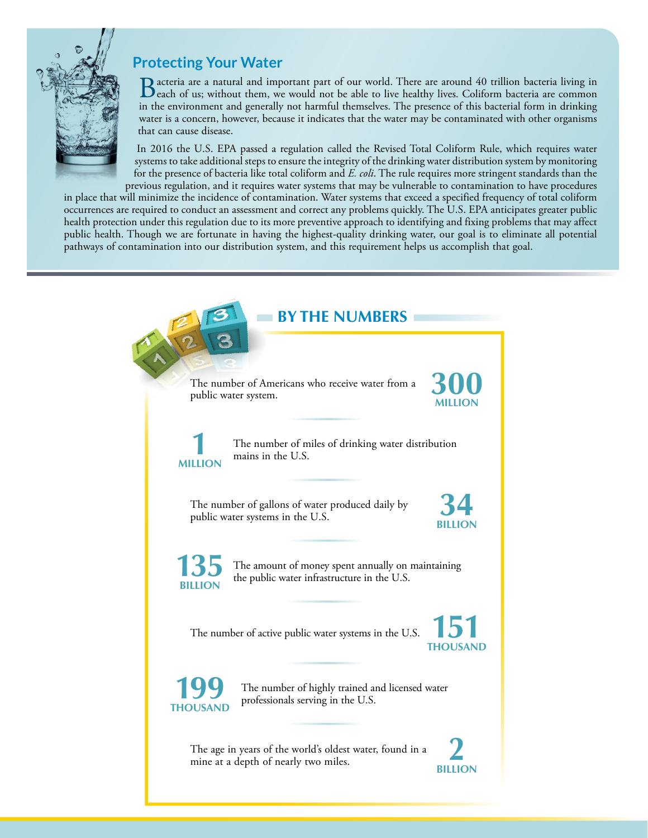

# **Protecting Your Water**

**B** acteria are a natural and important part of our world. There are around 40 trillion bacteria living in each of us; without them, we would not be able to live healthy lives. Coliform bacteria are common in the line of t in the environment and generally not harmful themselves. The presence of this bacterial form in drinking water is a concern, however, because it indicates that the water may be contaminated with other organisms that can cause disease.

In 2016 the U.S. EPA passed a regulation called the Revised Total Coliform Rule, which requires water systems to take additional steps to ensure the integrity of the drinking water distribution system by monitoring for the presence of bacteria like total coliform and *E. coli*. The rule requires more stringent standards than the previous regulation, and it requires water systems that may be vulnerable to contamination to have procedures

in place that will minimize the incidence of contamination. Water systems that exceed a specified frequency of total coliform occurrences are required to conduct an assessment and correct any problems quickly. The U.S. EPA anticipates greater public health protection under this regulation due to its more preventive approach to identifying and fixing problems that may affect public health. Though we are fortunate in having the highest-quality drinking water, our goal is to eliminate all potential pathways of contamination into our distribution system, and this requirement helps us accomplish that goal.